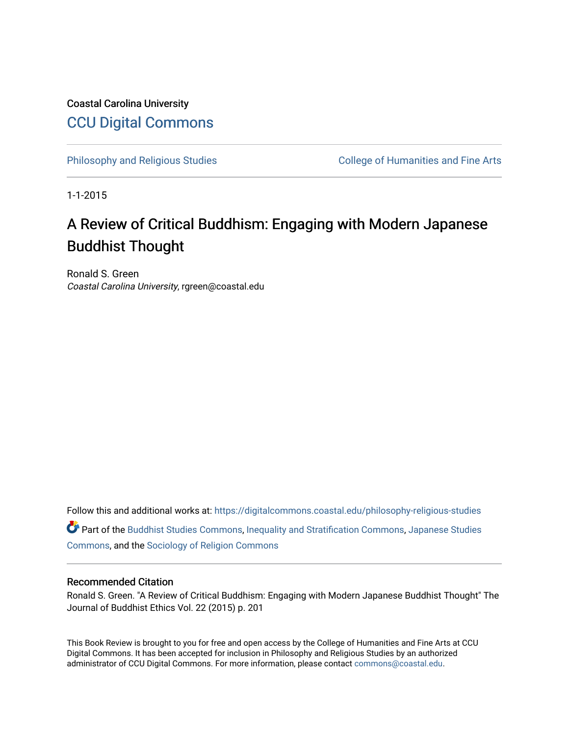Coastal Carolina University [CCU Digital Commons](https://digitalcommons.coastal.edu/) 

[Philosophy and Religious Studies](https://digitalcommons.coastal.edu/philosophy-religious-studies) College of Humanities and Fine Arts

1-1-2015

### A Review of Critical Buddhism: Engaging with Modern Japanese Buddhist Thought

Ronald S. Green Coastal Carolina University, rgreen@coastal.edu

Follow this and additional works at: [https://digitalcommons.coastal.edu/philosophy-religious-studies](https://digitalcommons.coastal.edu/philosophy-religious-studies?utm_source=digitalcommons.coastal.edu%2Fphilosophy-religious-studies%2F2&utm_medium=PDF&utm_campaign=PDFCoverPages) 

Part of the [Buddhist Studies Commons,](http://network.bepress.com/hgg/discipline/1344?utm_source=digitalcommons.coastal.edu%2Fphilosophy-religious-studies%2F2&utm_medium=PDF&utm_campaign=PDFCoverPages) [Inequality and Stratification Commons](http://network.bepress.com/hgg/discipline/421?utm_source=digitalcommons.coastal.edu%2Fphilosophy-religious-studies%2F2&utm_medium=PDF&utm_campaign=PDFCoverPages), [Japanese Studies](http://network.bepress.com/hgg/discipline/1287?utm_source=digitalcommons.coastal.edu%2Fphilosophy-religious-studies%2F2&utm_medium=PDF&utm_campaign=PDFCoverPages)  [Commons](http://network.bepress.com/hgg/discipline/1287?utm_source=digitalcommons.coastal.edu%2Fphilosophy-religious-studies%2F2&utm_medium=PDF&utm_campaign=PDFCoverPages), and the [Sociology of Religion Commons](http://network.bepress.com/hgg/discipline/1365?utm_source=digitalcommons.coastal.edu%2Fphilosophy-religious-studies%2F2&utm_medium=PDF&utm_campaign=PDFCoverPages) 

#### Recommended Citation

Ronald S. Green. "A Review of Critical Buddhism: Engaging with Modern Japanese Buddhist Thought" The Journal of Buddhist Ethics Vol. 22 (2015) p. 201

This Book Review is brought to you for free and open access by the College of Humanities and Fine Arts at CCU Digital Commons. It has been accepted for inclusion in Philosophy and Religious Studies by an authorized administrator of CCU Digital Commons. For more information, please contact [commons@coastal.edu.](mailto:commons@coastal.edu)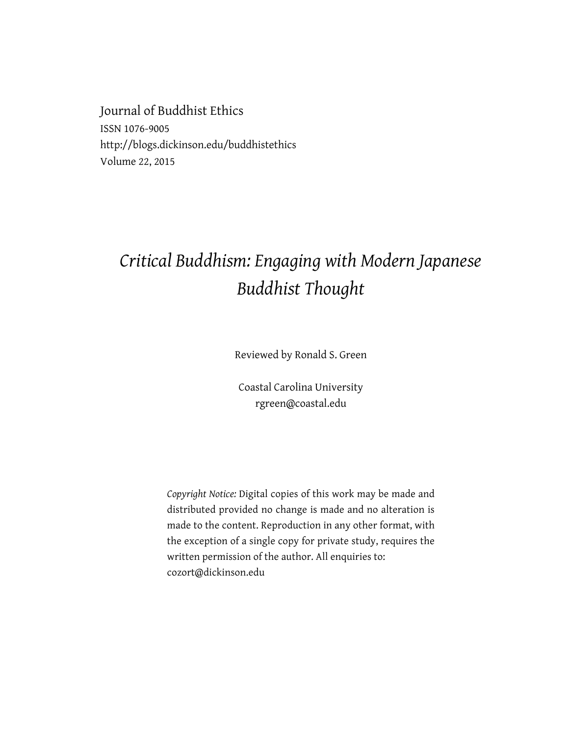Journal of Buddhist Ethics ISSN 1076-9005 http://blogs.dickinson.edu/buddhistethics Volume 22, 2015

# *Critical Buddhism: Engaging with Modern Japanese Buddhist Thought*

Reviewed by Ronald S. Green

Coastal Carolina University rgreen@coastal.edu

*Copyright Notice:* Digital copies of this work may be made and distributed provided no change is made and no alteration is made to the content. Reproduction in any other format, with the exception of a single copy for private study, requires the written permission of the author. All enquiries to: cozort@dickinson.edu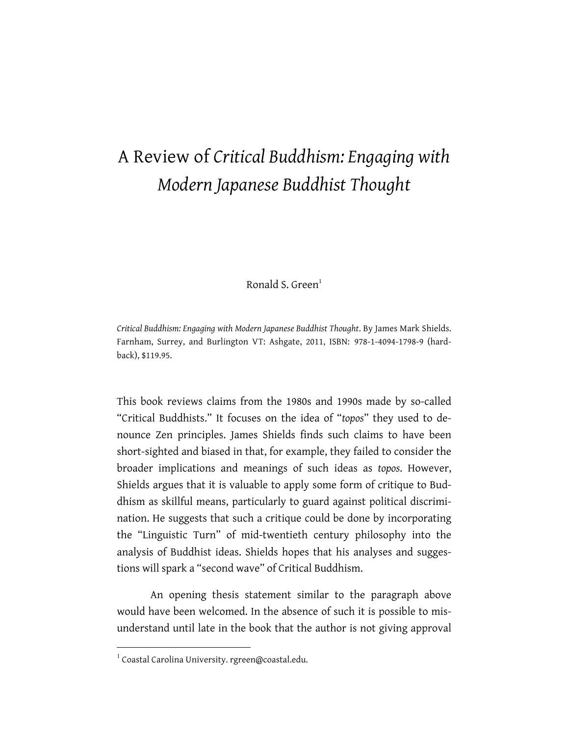# A Review of *Critical Buddhism: Engaging with Modern Japanese Buddhist Thought*

Ronald S. Green $<sup>1</sup>$ </sup>

*Critical Buddhism: Engaging with Modern Japanese Buddhist Thought*. By James Mark Shields. Farnham, Surrey, and Burlington VT: Ashgate, 2011, ISBN: 978-1-4094-1798-9 (hardback), \$119.95.

This book reviews claims from the 1980s and 1990s made by so-called "Critical Buddhists." It focuses on the idea of "*topos*" they used to denounce Zen principles. James Shields finds such claims to have been short-sighted and biased in that, for example, they failed to consider the broader implications and meanings of such ideas as *topos*. However, Shields argues that it is valuable to apply some form of critique to Buddhism as skillful means, particularly to guard against political discrimination. He suggests that such a critique could be done by incorporating the "Linguistic Turn" of mid-twentieth century philosophy into the analysis of Buddhist ideas. Shields hopes that his analyses and suggestions will spark a "second wave" of Critical Buddhism.

An opening thesis statement similar to the paragraph above would have been welcomed. In the absence of such it is possible to misunderstand until late in the book that the author is not giving approval

 $1$  Coastal Carolina University. rgreen@coastal.edu.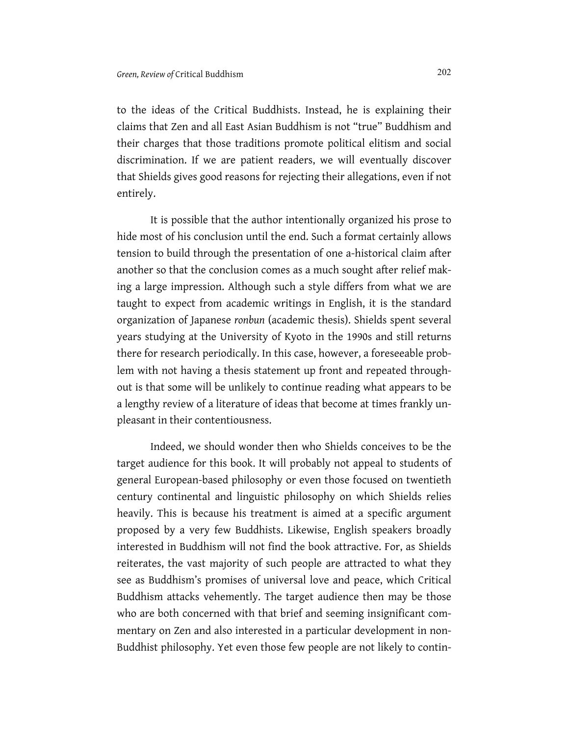to the ideas of the Critical Buddhists. Instead, he is explaining their claims that Zen and all East Asian Buddhism is not "true" Buddhism and their charges that those traditions promote political elitism and social discrimination. If we are patient readers, we will eventually discover that Shields gives good reasons for rejecting their allegations, even if not entirely.

It is possible that the author intentionally organized his prose to hide most of his conclusion until the end. Such a format certainly allows tension to build through the presentation of one a-historical claim after another so that the conclusion comes as a much sought after relief making a large impression. Although such a style differs from what we are taught to expect from academic writings in English, it is the standard organization of Japanese *ronbun* (academic thesis). Shields spent several years studying at the University of Kyoto in the 1990s and still returns there for research periodically. In this case, however, a foreseeable problem with not having a thesis statement up front and repeated throughout is that some will be unlikely to continue reading what appears to be a lengthy review of a literature of ideas that become at times frankly unpleasant in their contentiousness.

Indeed, we should wonder then who Shields conceives to be the target audience for this book. It will probably not appeal to students of general European-based philosophy or even those focused on twentieth century continental and linguistic philosophy on which Shields relies heavily. This is because his treatment is aimed at a specific argument proposed by a very few Buddhists. Likewise, English speakers broadly interested in Buddhism will not find the book attractive. For, as Shields reiterates, the vast majority of such people are attracted to what they see as Buddhism's promises of universal love and peace, which Critical Buddhism attacks vehemently. The target audience then may be those who are both concerned with that brief and seeming insignificant commentary on Zen and also interested in a particular development in non-Buddhist philosophy. Yet even those few people are not likely to contin-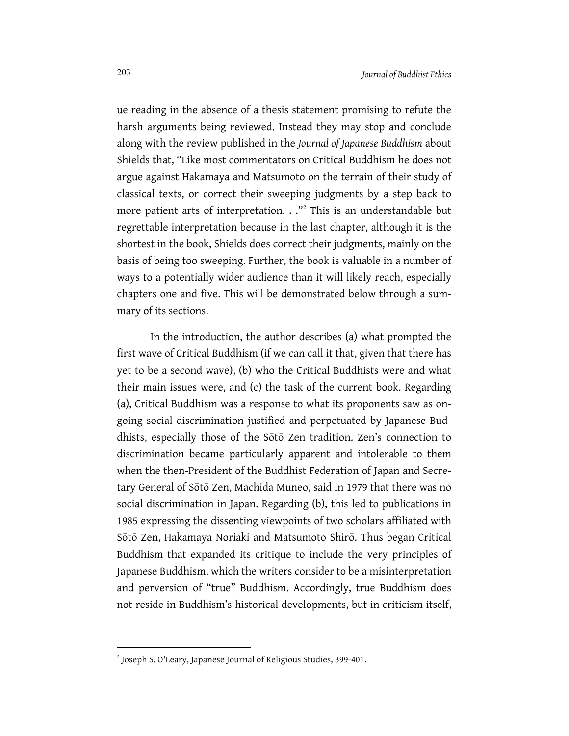ue reading in the absence of a thesis statement promising to refute the harsh arguments being reviewed. Instead they may stop and conclude along with the review published in the *Journal of Japanese Buddhism* about Shields that, "Like most commentators on Critical Buddhism he does not argue against Hakamaya and Matsumoto on the terrain of their study of classical texts, or correct their sweeping judgments by a step back to more patient arts of interpretation. . ."<sup>2</sup> This is an understandable but regrettable interpretation because in the last chapter, although it is the shortest in the book, Shields does correct their judgments, mainly on the basis of being too sweeping. Further, the book is valuable in a number of ways to a potentially wider audience than it will likely reach, especially chapters one and five. This will be demonstrated below through a summary of its sections.

In the introduction, the author describes (a) what prompted the first wave of Critical Buddhism (if we can call it that, given that there has yet to be a second wave), (b) who the Critical Buddhists were and what their main issues were, and (c) the task of the current book. Regarding (a), Critical Buddhism was a response to what its proponents saw as ongoing social discrimination justified and perpetuated by Japanese Buddhists, especially those of the Sōtō Zen tradition. Zen's connection to discrimination became particularly apparent and intolerable to them when the then-President of the Buddhist Federation of Japan and Secretary General of Sōtō Zen, Machida Muneo, said in 1979 that there was no social discrimination in Japan. Regarding (b), this led to publications in 1985 expressing the dissenting viewpoints of two scholars affiliated with Sōtō Zen, Hakamaya Noriaki and Matsumoto Shirō. Thus began Critical Buddhism that expanded its critique to include the very principles of Japanese Buddhism, which the writers consider to be a misinterpretation and perversion of "true" Buddhism. Accordingly, true Buddhism does not reside in Buddhism's historical developments, but in criticism itself,

1

<sup>&</sup>lt;sup>2</sup> Joseph S. O'Leary, Japanese Journal of Religious Studies, 399-401.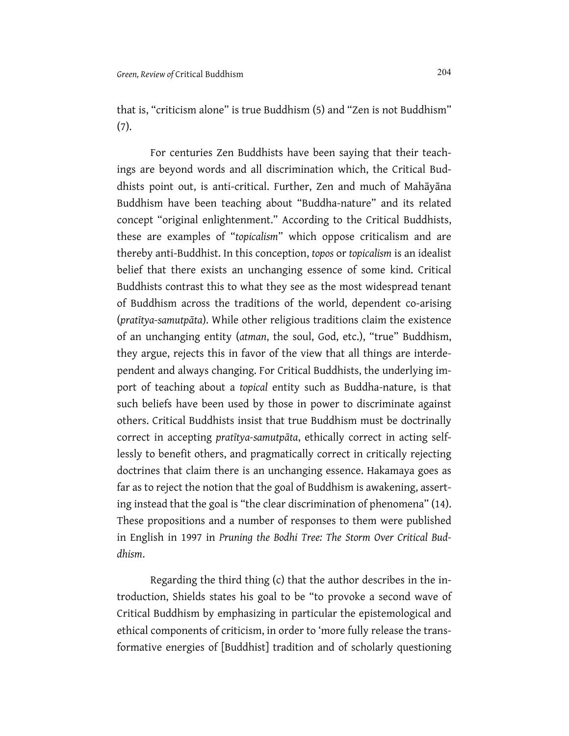that is, "criticism alone" is true Buddhism (5) and "Zen is not Buddhism" (7).

For centuries Zen Buddhists have been saying that their teachings are beyond words and all discrimination which, the Critical Buddhists point out, is anti-critical. Further, Zen and much of Mahāyāna Buddhism have been teaching about "Buddha-nature" and its related concept "original enlightenment." According to the Critical Buddhists, these are examples of "*topicalism*" which oppose criticalism and are thereby anti-Buddhist. In this conception, *topos* or *topicalism* is an idealist belief that there exists an unchanging essence of some kind. Critical Buddhists contrast this to what they see as the most widespread tenant of Buddhism across the traditions of the world, dependent co-arising (*pratītya-samutpāta*). While other religious traditions claim the existence of an unchanging entity (*atman*, the soul, God, etc.), "true" Buddhism, they argue, rejects this in favor of the view that all things are interdependent and always changing. For Critical Buddhists, the underlying import of teaching about a *topical* entity such as Buddha-nature, is that such beliefs have been used by those in power to discriminate against others. Critical Buddhists insist that true Buddhism must be doctrinally correct in accepting *pratītya-samutpāta*, ethically correct in acting selflessly to benefit others, and pragmatically correct in critically rejecting doctrines that claim there is an unchanging essence. Hakamaya goes as far as to reject the notion that the goal of Buddhism is awakening, asserting instead that the goal is "the clear discrimination of phenomena" (14). These propositions and a number of responses to them were published in English in 1997 in *Pruning the Bodhi Tree: The Storm Over Critical Buddhism*.

Regarding the third thing (c) that the author describes in the introduction, Shields states his goal to be "to provoke a second wave of Critical Buddhism by emphasizing in particular the epistemological and ethical components of criticism, in order to 'more fully release the transformative energies of [Buddhist] tradition and of scholarly questioning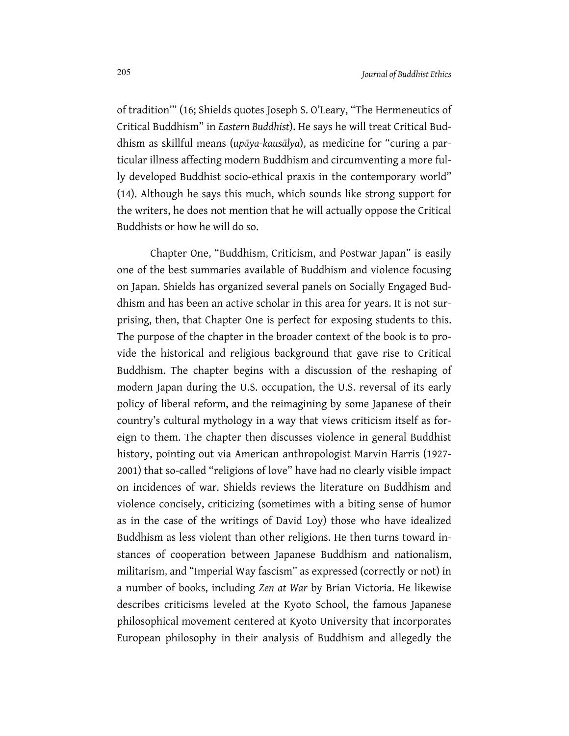of tradition'" (16; Shields quotes Joseph S. O'Leary, "The Hermeneutics of Critical Buddhism" in *Eastern Buddhist*). He says he will treat Critical Buddhism as skillful means (*upāya-kausālya*), as medicine for "curing a particular illness affecting modern Buddhism and circumventing a more fully developed Buddhist socio-ethical praxis in the contemporary world" (14). Although he says this much, which sounds like strong support for the writers, he does not mention that he will actually oppose the Critical Buddhists or how he will do so.

Chapter One, "Buddhism, Criticism, and Postwar Japan" is easily one of the best summaries available of Buddhism and violence focusing on Japan. Shields has organized several panels on Socially Engaged Buddhism and has been an active scholar in this area for years. It is not surprising, then, that Chapter One is perfect for exposing students to this. The purpose of the chapter in the broader context of the book is to provide the historical and religious background that gave rise to Critical Buddhism. The chapter begins with a discussion of the reshaping of modern Japan during the U.S. occupation, the U.S. reversal of its early policy of liberal reform, and the reimagining by some Japanese of their country's cultural mythology in a way that views criticism itself as foreign to them. The chapter then discusses violence in general Buddhist history, pointing out via American anthropologist Marvin Harris (1927- 2001) that so-called "religions of love" have had no clearly visible impact on incidences of war. Shields reviews the literature on Buddhism and violence concisely, criticizing (sometimes with a biting sense of humor as in the case of the writings of David Loy) those who have idealized Buddhism as less violent than other religions. He then turns toward instances of cooperation between Japanese Buddhism and nationalism, militarism, and "Imperial Way fascism" as expressed (correctly or not) in a number of books, including *Zen at War* by Brian Victoria. He likewise describes criticisms leveled at the Kyoto School, the famous Japanese philosophical movement centered at Kyoto University that incorporates European philosophy in their analysis of Buddhism and allegedly the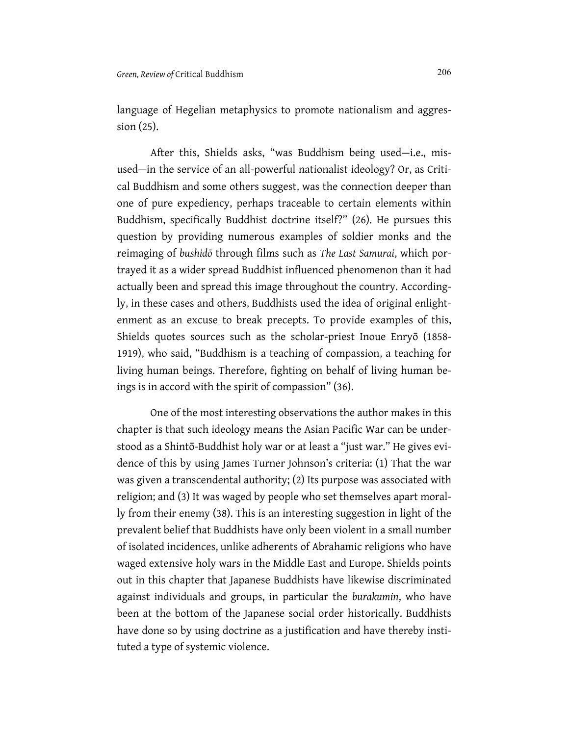language of Hegelian metaphysics to promote nationalism and aggression (25).

After this, Shields asks, "was Buddhism being used—i.e., misused—in the service of an all-powerful nationalist ideology? Or, as Critical Buddhism and some others suggest, was the connection deeper than one of pure expediency, perhaps traceable to certain elements within Buddhism, specifically Buddhist doctrine itself?" (26). He pursues this question by providing numerous examples of soldier monks and the reimaging of *bushidō* through films such as *The Last Samurai*, which portrayed it as a wider spread Buddhist influenced phenomenon than it had actually been and spread this image throughout the country. Accordingly, in these cases and others, Buddhists used the idea of original enlightenment as an excuse to break precepts. To provide examples of this, Shields quotes sources such as the scholar-priest Inoue Enryō (1858- 1919), who said, "Buddhism is a teaching of compassion, a teaching for living human beings. Therefore, fighting on behalf of living human beings is in accord with the spirit of compassion" (36).

One of the most interesting observations the author makes in this chapter is that such ideology means the Asian Pacific War can be understood as a Shintō-Buddhist holy war or at least a "just war." He gives evidence of this by using James Turner Johnson's criteria: (1) That the war was given a transcendental authority; (2) Its purpose was associated with religion; and (3) It was waged by people who set themselves apart morally from their enemy (38). This is an interesting suggestion in light of the prevalent belief that Buddhists have only been violent in a small number of isolated incidences, unlike adherents of Abrahamic religions who have waged extensive holy wars in the Middle East and Europe. Shields points out in this chapter that Japanese Buddhists have likewise discriminated against individuals and groups, in particular the *burakumin*, who have been at the bottom of the Japanese social order historically. Buddhists have done so by using doctrine as a justification and have thereby instituted a type of systemic violence.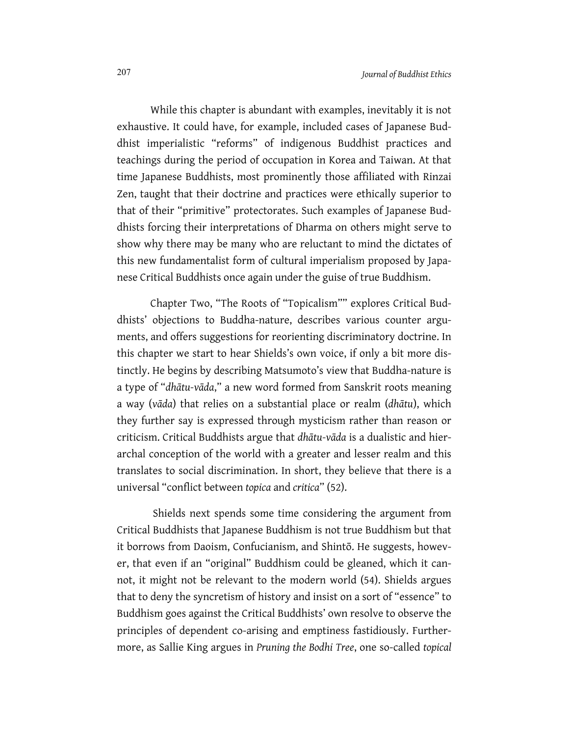While this chapter is abundant with examples, inevitably it is not exhaustive. It could have, for example, included cases of Japanese Buddhist imperialistic "reforms" of indigenous Buddhist practices and teachings during the period of occupation in Korea and Taiwan. At that time Japanese Buddhists, most prominently those affiliated with Rinzai Zen, taught that their doctrine and practices were ethically superior to that of their "primitive" protectorates. Such examples of Japanese Buddhists forcing their interpretations of Dharma on others might serve to show why there may be many who are reluctant to mind the dictates of this new fundamentalist form of cultural imperialism proposed by Japanese Critical Buddhists once again under the guise of true Buddhism.

Chapter Two, "The Roots of "Topicalism"" explores Critical Buddhists' objections to Buddha-nature, describes various counter arguments, and offers suggestions for reorienting discriminatory doctrine. In this chapter we start to hear Shields's own voice, if only a bit more distinctly. He begins by describing Matsumoto's view that Buddha-nature is a type of "*dhātu-vāda*," a new word formed from Sanskrit roots meaning a way (*vāda*) that relies on a substantial place or realm (*dhātu*), which they further say is expressed through mysticism rather than reason or criticism. Critical Buddhists argue that *dhātu-vāda* is a dualistic and hierarchal conception of the world with a greater and lesser realm and this translates to social discrimination. In short, they believe that there is a universal "conflict between *topica* and *critica*" (52).

Shields next spends some time considering the argument from Critical Buddhists that Japanese Buddhism is not true Buddhism but that it borrows from Daoism, Confucianism, and Shintō. He suggests, however, that even if an "original" Buddhism could be gleaned, which it cannot, it might not be relevant to the modern world (54). Shields argues that to deny the syncretism of history and insist on a sort of "essence" to Buddhism goes against the Critical Buddhists' own resolve to observe the principles of dependent co-arising and emptiness fastidiously. Furthermore, as Sallie King argues in *Pruning the Bodhi Tree*, one so-called *topical*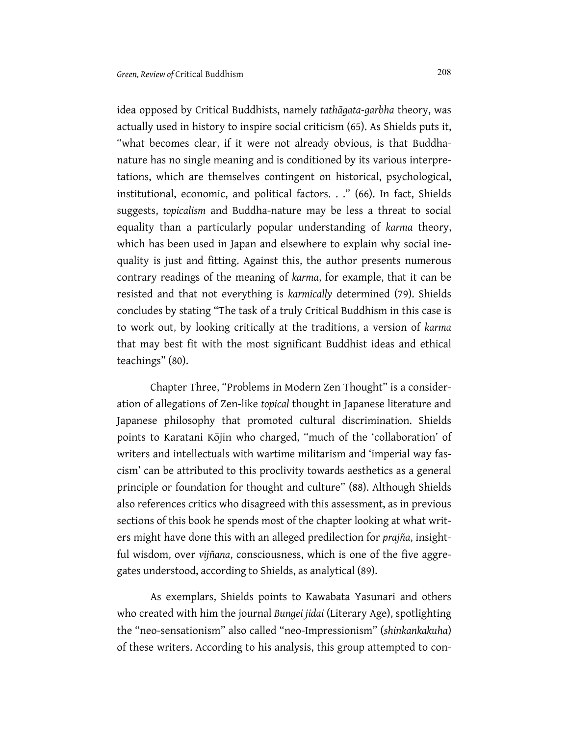idea opposed by Critical Buddhists, namely *tathāgata-garbha* theory, was actually used in history to inspire social criticism (65). As Shields puts it, "what becomes clear, if it were not already obvious, is that Buddhanature has no single meaning and is conditioned by its various interpretations, which are themselves contingent on historical, psychological, institutional, economic, and political factors. . ." (66). In fact, Shields suggests, *topicalism* and Buddha-nature may be less a threat to social equality than a particularly popular understanding of *karma* theory, which has been used in Japan and elsewhere to explain why social inequality is just and fitting. Against this, the author presents numerous contrary readings of the meaning of *karma*, for example, that it can be resisted and that not everything is *karmically* determined (79). Shields concludes by stating "The task of a truly Critical Buddhism in this case is to work out, by looking critically at the traditions, a version of *karma* that may best fit with the most significant Buddhist ideas and ethical teachings" (80).

Chapter Three, "Problems in Modern Zen Thought" is a consideration of allegations of Zen-like *topical* thought in Japanese literature and Japanese philosophy that promoted cultural discrimination. Shields points to Karatani Kōjin who charged, "much of the 'collaboration' of writers and intellectuals with wartime militarism and 'imperial way fascism' can be attributed to this proclivity towards aesthetics as a general principle or foundation for thought and culture" (88). Although Shields also references critics who disagreed with this assessment, as in previous sections of this book he spends most of the chapter looking at what writers might have done this with an alleged predilection for *prajña*, insightful wisdom, over *vijñana*, consciousness, which is one of the five aggregates understood, according to Shields, as analytical (89).

As exemplars, Shields points to Kawabata Yasunari and others who created with him the journal *Bungei jidai* (Literary Age), spotlighting the "neo-sensationism" also called "neo-Impressionism" (*shinkankakuha*) of these writers. According to his analysis, this group attempted to con-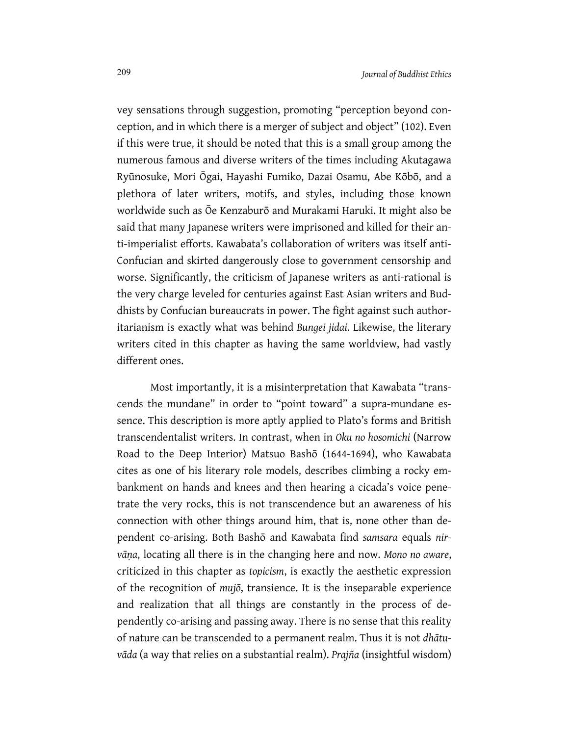vey sensations through suggestion, promoting "perception beyond conception, and in which there is a merger of subject and object" (102). Even if this were true, it should be noted that this is a small group among the numerous famous and diverse writers of the times including Akutagawa Ryūnosuke, Mori Ōgai, Hayashi Fumiko, Dazai Osamu, Abe Kōbō, and a plethora of later writers, motifs, and styles, including those known worldwide such as Ōe Kenzaburō and Murakami Haruki. It might also be said that many Japanese writers were imprisoned and killed for their anti-imperialist efforts. Kawabata's collaboration of writers was itself anti-Confucian and skirted dangerously close to government censorship and worse. Significantly, the criticism of Japanese writers as anti-rational is the very charge leveled for centuries against East Asian writers and Buddhists by Confucian bureaucrats in power. The fight against such authoritarianism is exactly what was behind *Bungei jidai*. Likewise, the literary writers cited in this chapter as having the same worldview, had vastly different ones.

Most importantly, it is a misinterpretation that Kawabata "transcends the mundane" in order to "point toward" a supra-mundane essence. This description is more aptly applied to Plato's forms and British transcendentalist writers. In contrast, when in *Oku no hosomichi* (Narrow Road to the Deep Interior) Matsuo Bashō (1644-1694), who Kawabata cites as one of his literary role models, describes climbing a rocky embankment on hands and knees and then hearing a cicada's voice penetrate the very rocks, this is not transcendence but an awareness of his connection with other things around him, that is, none other than dependent co-arising. Both Bashō and Kawabata find *samsara* equals *nirvāṇa*, locating all there is in the changing here and now. *Mono no aware*, criticized in this chapter as *topicism*, is exactly the aesthetic expression of the recognition of *mujō*, transience. It is the inseparable experience and realization that all things are constantly in the process of dependently co-arising and passing away. There is no sense that this reality of nature can be transcended to a permanent realm. Thus it is not *dhātuvāda* (a way that relies on a substantial realm). *Prajña* (insightful wisdom)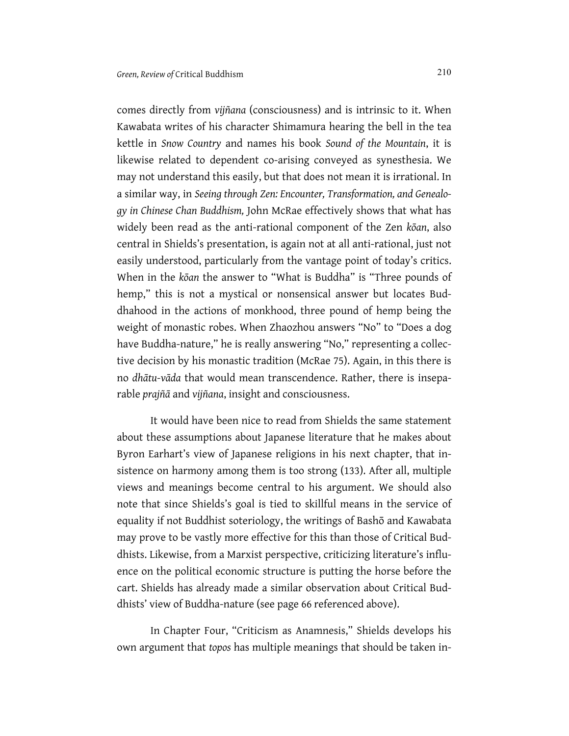comes directly from *vijñana* (consciousness) and is intrinsic to it. When Kawabata writes of his character Shimamura hearing the bell in the tea kettle in *Snow Country* and names his book *Sound of the Mountain*, it is likewise related to dependent co-arising conveyed as synesthesia. We may not understand this easily, but that does not mean it is irrational. In a similar way, in *Seeing through Zen: Encounter, Transformation, and Genealogy in Chinese Chan Buddhism,* John McRae effectively shows that what has widely been read as the anti-rational component of the Zen *kōan*, also central in Shields's presentation, is again not at all anti-rational, just not easily understood, particularly from the vantage point of today's critics. When in the *kōan* the answer to "What is Buddha" is "Three pounds of hemp," this is not a mystical or nonsensical answer but locates Buddhahood in the actions of monkhood, three pound of hemp being the weight of monastic robes. When Zhaozhou answers "No" to "Does a dog have Buddha-nature," he is really answering "No," representing a collective decision by his monastic tradition (McRae 75). Again, in this there is no *dhātu-vāda* that would mean transcendence. Rather, there is inseparable *prajñā* and *vijñana*, insight and consciousness.

It would have been nice to read from Shields the same statement about these assumptions about Japanese literature that he makes about Byron Earhart's view of Japanese religions in his next chapter, that insistence on harmony among them is too strong (133). After all, multiple views and meanings become central to his argument. We should also note that since Shields's goal is tied to skillful means in the service of equality if not Buddhist soteriology, the writings of Bashō and Kawabata may prove to be vastly more effective for this than those of Critical Buddhists. Likewise, from a Marxist perspective, criticizing literature's influence on the political economic structure is putting the horse before the cart. Shields has already made a similar observation about Critical Buddhists' view of Buddha-nature (see page 66 referenced above).

In Chapter Four, "Criticism as Anamnesis," Shields develops his own argument that *topos* has multiple meanings that should be taken in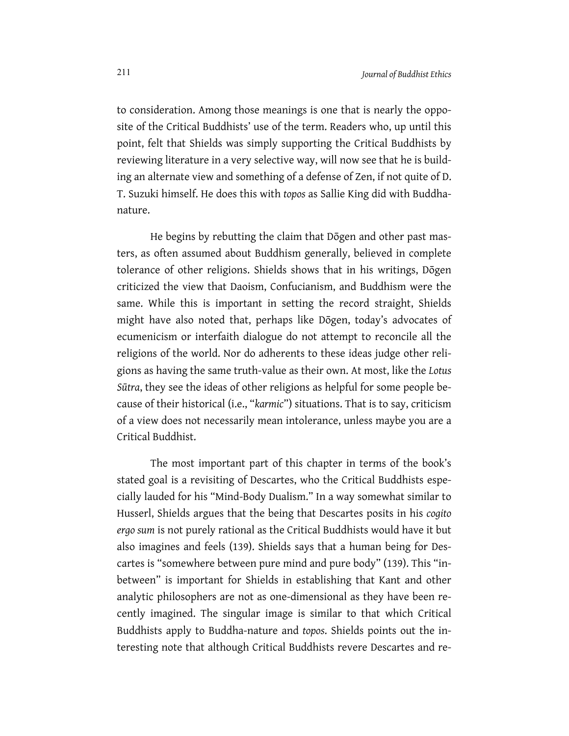to consideration. Among those meanings is one that is nearly the opposite of the Critical Buddhists' use of the term. Readers who, up until this point, felt that Shields was simply supporting the Critical Buddhists by reviewing literature in a very selective way, will now see that he is building an alternate view and something of a defense of Zen, if not quite of D. T. Suzuki himself. He does this with *topos* as Sallie King did with Buddhanature.

He begins by rebutting the claim that Dōgen and other past masters, as often assumed about Buddhism generally, believed in complete tolerance of other religions. Shields shows that in his writings, Dōgen criticized the view that Daoism, Confucianism, and Buddhism were the same. While this is important in setting the record straight, Shields might have also noted that, perhaps like Dōgen, today's advocates of ecumenicism or interfaith dialogue do not attempt to reconcile all the religions of the world. Nor do adherents to these ideas judge other religions as having the same truth-value as their own. At most, like the *Lotus Sūtra*, they see the ideas of other religions as helpful for some people because of their historical (i.e., "*karmic*") situations. That is to say, criticism of a view does not necessarily mean intolerance, unless maybe you are a Critical Buddhist.

The most important part of this chapter in terms of the book's stated goal is a revisiting of Descartes, who the Critical Buddhists especially lauded for his "Mind-Body Dualism." In a way somewhat similar to Husserl, Shields argues that the being that Descartes posits in his *cogito ergo sum* is not purely rational as the Critical Buddhists would have it but also imagines and feels (139). Shields says that a human being for Descartes is "somewhere between pure mind and pure body" (139). This "inbetween" is important for Shields in establishing that Kant and other analytic philosophers are not as one-dimensional as they have been recently imagined. The singular image is similar to that which Critical Buddhists apply to Buddha-nature and *topos*. Shields points out the interesting note that although Critical Buddhists revere Descartes and re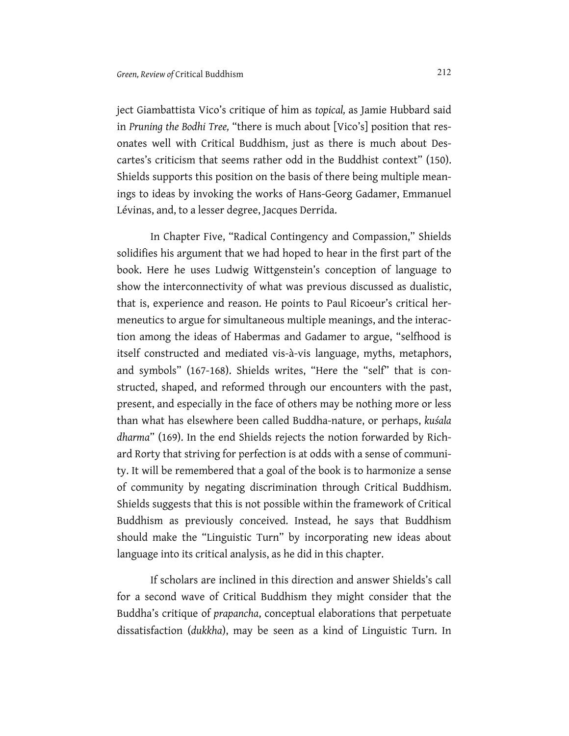ject Giambattista Vico's critique of him as *topical,* as Jamie Hubbard said in *Pruning the Bodhi Tree,* "there is much about [Vico's] position that resonates well with Critical Buddhism, just as there is much about Descartes's criticism that seems rather odd in the Buddhist context" (150). Shields supports this position on the basis of there being multiple meanings to ideas by invoking the works of Hans-Georg Gadamer, Emmanuel Lévinas, and, to a lesser degree, Jacques Derrida.

In Chapter Five, "Radical Contingency and Compassion," Shields solidifies his argument that we had hoped to hear in the first part of the book. Here he uses Ludwig Wittgenstein's conception of language to show the interconnectivity of what was previous discussed as dualistic, that is, experience and reason. He points to Paul Ricoeur's critical hermeneutics to argue for simultaneous multiple meanings, and the interaction among the ideas of Habermas and Gadamer to argue, "selfhood is itself constructed and mediated vis-à-vis language, myths, metaphors, and symbols" (167-168). Shields writes, "Here the "self" that is constructed, shaped, and reformed through our encounters with the past, present, and especially in the face of others may be nothing more or less than what has elsewhere been called Buddha-nature, or perhaps, *kuśala dharma*" (169). In the end Shields rejects the notion forwarded by Richard Rorty that striving for perfection is at odds with a sense of community. It will be remembered that a goal of the book is to harmonize a sense of community by negating discrimination through Critical Buddhism. Shields suggests that this is not possible within the framework of Critical Buddhism as previously conceived. Instead, he says that Buddhism should make the "Linguistic Turn" by incorporating new ideas about language into its critical analysis, as he did in this chapter.

If scholars are inclined in this direction and answer Shields's call for a second wave of Critical Buddhism they might consider that the Buddha's critique of *prapancha*, conceptual elaborations that perpetuate dissatisfaction (*dukkha*), may be seen as a kind of Linguistic Turn. In